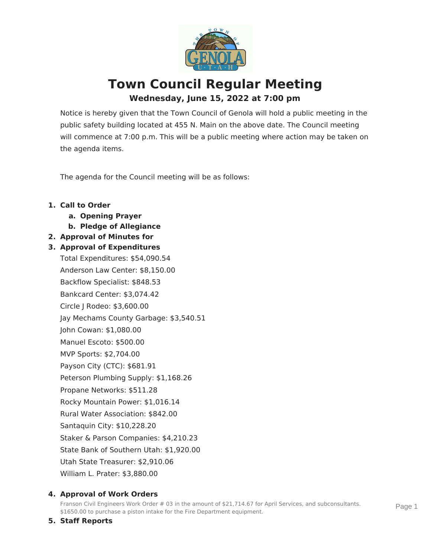

# **Town Council Regular Meeting Wednesday, June 15, 2022 at 7:00 pm**

Notice is hereby given that the Town Council of Genola will hold a public meeting in the public safety building located at 455 N. Main on the above date. The Council meeting will commence at 7:00 p.m. This will be a public meeting where action may be taken on the agenda items.

The agenda for the Council meeting will be as follows:

## **1. Call to Order**

- **a. Opening Prayer**
- **b. Pledge of Allegiance**
- **2. Approval of Minutes for**

## **3. Approval of Expenditures**

Total Expenditures: \$54,090.54 Anderson Law Center: \$8,150.00 Backflow Specialist: \$848.53 Bankcard Center: \$3,074.42 Circle J Rodeo: \$3,600.00 Jay Mechams County Garbage: \$3,540.51 John Cowan: \$1,080.00 Manuel Escoto: \$500.00 MVP Sports: \$2,704.00 Payson City (CTC): \$681.91 Peterson Plumbing Supply: \$1,168.26 Propane Networks: \$511.28 Rocky Mountain Power: \$1,016.14 Rural Water Association: \$842.00 Santaquin City: \$10,228.20 Staker & Parson Companies: \$4,210.23 State Bank of Southern Utah: \$1,920.00 Utah State Treasurer: \$2,910.06 William L. Prater: \$3,880.00

#### **4. Approval of Work Orders**

Franson Civil Engineers Work Order # 03 in the amount of \$21,714.67 for April Services, and subconsultants. \$1650.00 to purchase a piston intake for the Fire Department equipment.

**5. Staff Reports**

Page 1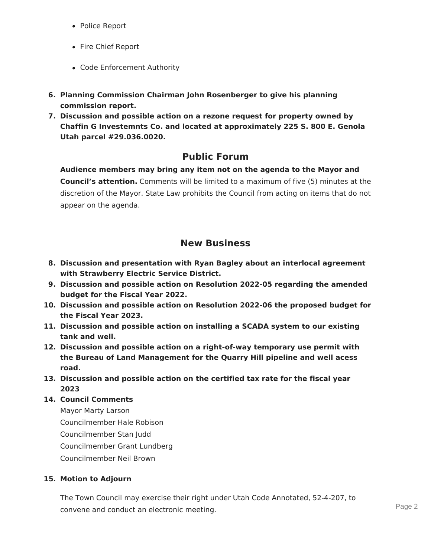- Police Report
- Fire Chief Report
- Code Enforcement Authority
- **6. Planning Commission Chairman John Rosenberger to give his planning commission report.**
- **7. Discussion and possible action on a rezone request for property owned by Chaffin G Investemnts Co. and located at approximately 225 S. 800 E. Genola Utah parcel #29.036.0020.**

# **Public Forum**

**Audience members may bring any item not on the agenda to the Mayor and Council's attention.** Comments will be limited to a maximum of five (5) minutes at the discretion of the Mayor. State Law prohibits the Council from acting on items that do not appear on the agenda.

# **New Business**

- **8. Discussion and presentation with Ryan Bagley about an interlocal agreement with Strawberry Electric Service District.**
- **9. Discussion and possible action on Resolution 2022-05 regarding the amended budget for the Fiscal Year 2022.**
- **10. Discussion and possible action on Resolution 2022-06 the proposed budget for the Fiscal Year 2023.**
- **11. Discussion and possible action on installing a SCADA system to our existing tank and well.**
- **12. Discussion and possible action on a right-of-way temporary use permit with the Bureau of Land Management for the Quarry Hill pipeline and well acess road.**
- **13. Discussion and possible action on the certified tax rate for the fiscal year 2023**
- **14. Council Comments**

Mayor Marty Larson Councilmember Hale Robison Councilmember Stan Judd Councilmember Grant Lundberg Councilmember Neil Brown

#### **15. Motion to Adjourn**

The Town Council may exercise their right under Utah Code Annotated, 52-4-207, to convene and conduct an electronic meeting.